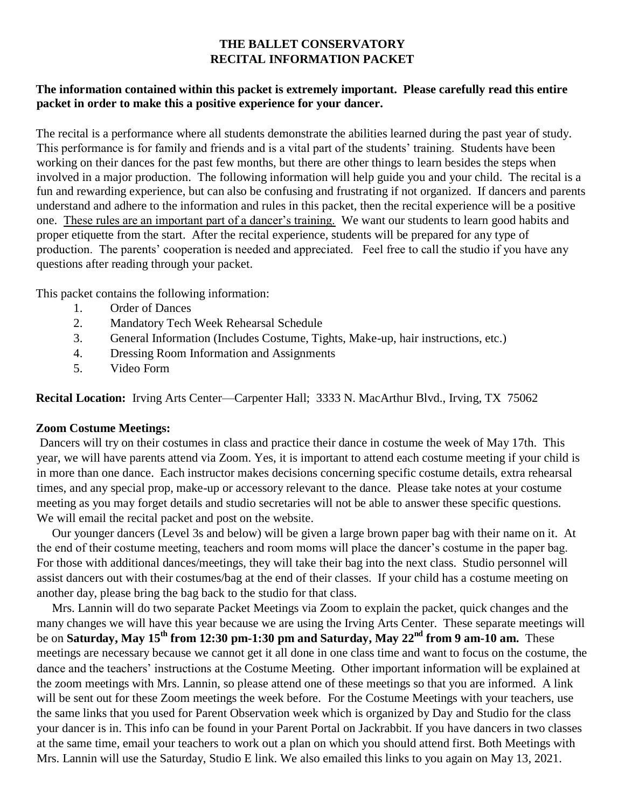## **THE BALLET CONSERVATORY RECITAL INFORMATION PACKET**

#### **The information contained within this packet is extremely important. Please carefully read this entire packet in order to make this a positive experience for your dancer.**

The recital is a performance where all students demonstrate the abilities learned during the past year of study. This performance is for family and friends and is a vital part of the students' training. Students have been working on their dances for the past few months, but there are other things to learn besides the steps when involved in a major production. The following information will help guide you and your child. The recital is a fun and rewarding experience, but can also be confusing and frustrating if not organized. If dancers and parents understand and adhere to the information and rules in this packet, then the recital experience will be a positive one. These rules are an important part of a dancer's training. We want our students to learn good habits and proper etiquette from the start. After the recital experience, students will be prepared for any type of production. The parents' cooperation is needed and appreciated. Feel free to call the studio if you have any questions after reading through your packet.

This packet contains the following information:

- 1. Order of Dances
- 2. Mandatory Tech Week Rehearsal Schedule
- 3. General Information (Includes Costume, Tights, Make-up, hair instructions, etc.)
- 4. Dressing Room Information and Assignments
- 5. Video Form

**Recital Location:** Irving Arts Center—Carpenter Hall; 3333 N. MacArthur Blvd., Irving, TX 75062

#### **Zoom Costume Meetings:**

Dancers will try on their costumes in class and practice their dance in costume the week of May 17th. This year, we will have parents attend via Zoom. Yes, it is important to attend each costume meeting if your child is in more than one dance. Each instructor makes decisions concerning specific costume details, extra rehearsal times, and any special prop, make-up or accessory relevant to the dance. Please take notes at your costume meeting as you may forget details and studio secretaries will not be able to answer these specific questions. We will email the recital packet and post on the website.

 Our younger dancers (Level 3s and below) will be given a large brown paper bag with their name on it. At the end of their costume meeting, teachers and room moms will place the dancer's costume in the paper bag. For those with additional dances/meetings, they will take their bag into the next class. Studio personnel will assist dancers out with their costumes/bag at the end of their classes. If your child has a costume meeting on another day, please bring the bag back to the studio for that class.

 Mrs. Lannin will do two separate Packet Meetings via Zoom to explain the packet, quick changes and the many changes we will have this year because we are using the Irving Arts Center. These separate meetings will be on **Saturday, May 15th from 12:30 pm-1:30 pm and Saturday, May 22nd from 9 am-10 am.** These meetings are necessary because we cannot get it all done in one class time and want to focus on the costume, the dance and the teachers' instructions at the Costume Meeting. Other important information will be explained at the zoom meetings with Mrs. Lannin, so please attend one of these meetings so that you are informed. A link will be sent out for these Zoom meetings the week before. For the Costume Meetings with your teachers, use the same links that you used for Parent Observation week which is organized by Day and Studio for the class your dancer is in. This info can be found in your Parent Portal on Jackrabbit. If you have dancers in two classes at the same time, email your teachers to work out a plan on which you should attend first. Both Meetings with Mrs. Lannin will use the Saturday, Studio E link. We also emailed this links to you again on May 13, 2021.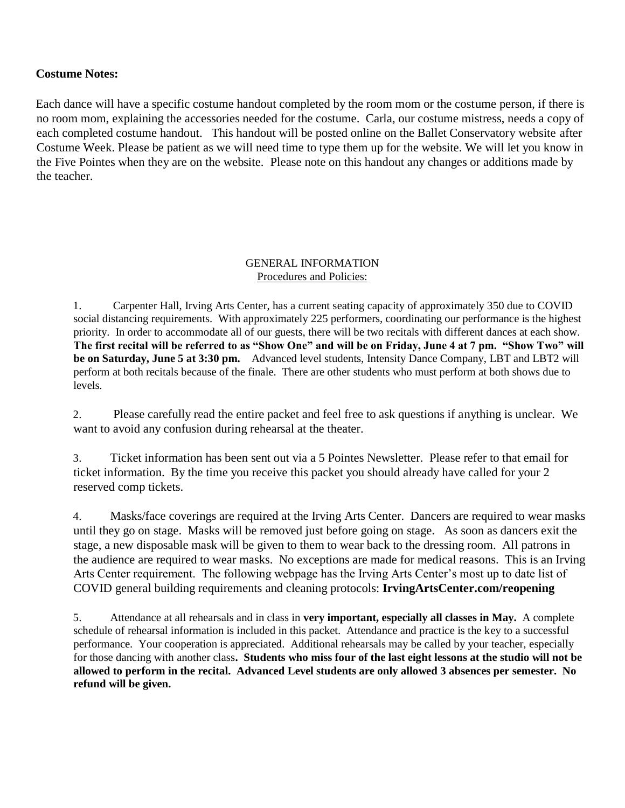### **Costume Notes:**

Each dance will have a specific costume handout completed by the room mom or the costume person, if there is no room mom, explaining the accessories needed for the costume. Carla, our costume mistress, needs a copy of each completed costume handout. This handout will be posted online on the Ballet Conservatory website after Costume Week. Please be patient as we will need time to type them up for the website. We will let you know in the Five Pointes when they are on the website. Please note on this handout any changes or additions made by the teacher.

#### GENERAL INFORMATION Procedures and Policies:

1. Carpenter Hall, Irving Arts Center, has a current seating capacity of approximately 350 due to COVID social distancing requirements. With approximately 225 performers, coordinating our performance is the highest priority. In order to accommodate all of our guests, there will be two recitals with different dances at each show. **The first recital will be referred to as "Show One" and will be on Friday, June 4 at 7 pm. "Show Two" will be on Saturday, June 5 at 3:30 pm.** Advanced level students, Intensity Dance Company, LBT and LBT2 will perform at both recitals because of the finale. There are other students who must perform at both shows due to levels.

2. Please carefully read the entire packet and feel free to ask questions if anything is unclear. We want to avoid any confusion during rehearsal at the theater.

3. Ticket information has been sent out via a 5 Pointes Newsletter. Please refer to that email for ticket information. By the time you receive this packet you should already have called for your 2 reserved comp tickets.

4. Masks/face coverings are required at the Irving Arts Center. Dancers are required to wear masks until they go on stage. Masks will be removed just before going on stage. As soon as dancers exit the stage, a new disposable mask will be given to them to wear back to the dressing room. All patrons in the audience are required to wear masks. No exceptions are made for medical reasons. This is an Irving Arts Center requirement. The following webpage has the Irving Arts Center's most up to date list of COVID general building requirements and cleaning protocols: **IrvingArtsCenter.com/reopening**

5. Attendance at all rehearsals and in class in **very important, especially all classes in May.** A complete schedule of rehearsal information is included in this packet. Attendance and practice is the key to a successful performance. Your cooperation is appreciated. Additional rehearsals may be called by your teacher, especially for those dancing with another class**. Students who miss four of the last eight lessons at the studio will not be allowed to perform in the recital. Advanced Level students are only allowed 3 absences per semester. No refund will be given.**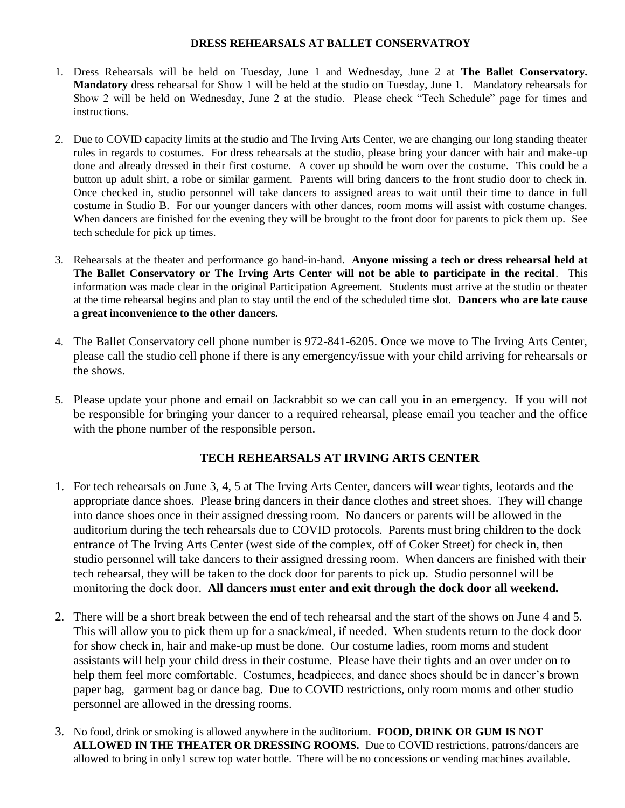#### **DRESS REHEARSALS AT BALLET CONSERVATROY**

- 1. Dress Rehearsals will be held on Tuesday, June 1 and Wednesday, June 2 at **The Ballet Conservatory. Mandatory** dress rehearsal for Show 1 will be held at the studio on Tuesday, June 1. Mandatory rehearsals for Show 2 will be held on Wednesday, June 2 at the studio. Please check "Tech Schedule" page for times and instructions.
- 2. Due to COVID capacity limits at the studio and The Irving Arts Center, we are changing our long standing theater rules in regards to costumes. For dress rehearsals at the studio, please bring your dancer with hair and make-up done and already dressed in their first costume. A cover up should be worn over the costume. This could be a button up adult shirt, a robe or similar garment. Parents will bring dancers to the front studio door to check in. Once checked in, studio personnel will take dancers to assigned areas to wait until their time to dance in full costume in Studio B. For our younger dancers with other dances, room moms will assist with costume changes. When dancers are finished for the evening they will be brought to the front door for parents to pick them up. See tech schedule for pick up times.
- 3. Rehearsals at the theater and performance go hand-in-hand. **Anyone missing a tech or dress rehearsal held at The Ballet Conservatory or The Irving Arts Center will not be able to participate in the recital**. This information was made clear in the original Participation Agreement. Students must arrive at the studio or theater at the time rehearsal begins and plan to stay until the end of the scheduled time slot. **Dancers who are late cause a great inconvenience to the other dancers.**
- 4. The Ballet Conservatory cell phone number is 972-841-6205. Once we move to The Irving Arts Center, please call the studio cell phone if there is any emergency/issue with your child arriving for rehearsals or the shows.
- 5. Please update your phone and email on Jackrabbit so we can call you in an emergency. If you will not be responsible for bringing your dancer to a required rehearsal, please email you teacher and the office with the phone number of the responsible person.

#### **TECH REHEARSALS AT IRVING ARTS CENTER**

- 1. For tech rehearsals on June 3, 4, 5 at The Irving Arts Center, dancers will wear tights, leotards and the appropriate dance shoes. Please bring dancers in their dance clothes and street shoes. They will change into dance shoes once in their assigned dressing room. No dancers or parents will be allowed in the auditorium during the tech rehearsals due to COVID protocols. Parents must bring children to the dock entrance of The Irving Arts Center (west side of the complex, off of Coker Street) for check in, then studio personnel will take dancers to their assigned dressing room. When dancers are finished with their tech rehearsal, they will be taken to the dock door for parents to pick up. Studio personnel will be monitoring the dock door. **All dancers must enter and exit through the dock door all weekend.**
- 2. There will be a short break between the end of tech rehearsal and the start of the shows on June 4 and 5. This will allow you to pick them up for a snack/meal, if needed. When students return to the dock door for show check in, hair and make-up must be done. Our costume ladies, room moms and student assistants will help your child dress in their costume. Please have their tights and an over under on to help them feel more comfortable. Costumes, headpieces, and dance shoes should be in dancer's brown paper bag, garment bag or dance bag. Due to COVID restrictions, only room moms and other studio personnel are allowed in the dressing rooms.
- 3. No food, drink or smoking is allowed anywhere in the auditorium. **FOOD, DRINK OR GUM IS NOT ALLOWED IN THE THEATER OR DRESSING ROOMS.** Due to COVID restrictions, patrons/dancers are allowed to bring in only1 screw top water bottle. There will be no concessions or vending machines available.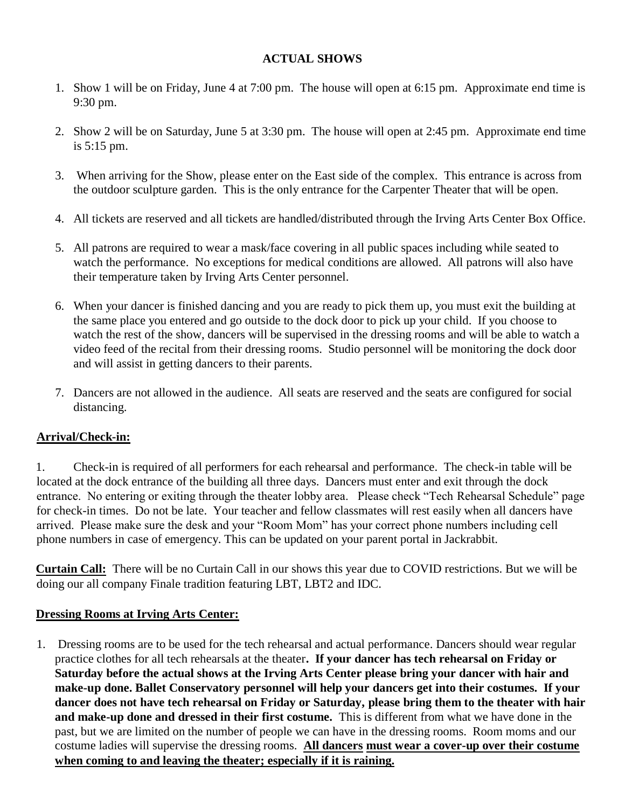### **ACTUAL SHOWS**

- 1. Show 1 will be on Friday, June 4 at 7:00 pm. The house will open at 6:15 pm. Approximate end time is 9:30 pm.
- 2. Show 2 will be on Saturday, June 5 at 3:30 pm. The house will open at 2:45 pm. Approximate end time is 5:15 pm.
- 3. When arriving for the Show, please enter on the East side of the complex. This entrance is across from the outdoor sculpture garden. This is the only entrance for the Carpenter Theater that will be open.
- 4. All tickets are reserved and all tickets are handled/distributed through the Irving Arts Center Box Office.
- 5. All patrons are required to wear a mask/face covering in all public spaces including while seated to watch the performance. No exceptions for medical conditions are allowed. All patrons will also have their temperature taken by Irving Arts Center personnel.
- 6. When your dancer is finished dancing and you are ready to pick them up, you must exit the building at the same place you entered and go outside to the dock door to pick up your child. If you choose to watch the rest of the show, dancers will be supervised in the dressing rooms and will be able to watch a video feed of the recital from their dressing rooms. Studio personnel will be monitoring the dock door and will assist in getting dancers to their parents.
- 7. Dancers are not allowed in the audience. All seats are reserved and the seats are configured for social distancing.

# **Arrival/Check-in:**

1. Check-in is required of all performers for each rehearsal and performance. The check-in table will be located at the dock entrance of the building all three days. Dancers must enter and exit through the dock entrance. No entering or exiting through the theater lobby area. Please check "Tech Rehearsal Schedule" page for check-in times. Do not be late. Your teacher and fellow classmates will rest easily when all dancers have arrived. Please make sure the desk and your "Room Mom" has your correct phone numbers including cell phone numbers in case of emergency. This can be updated on your parent portal in Jackrabbit.

**Curtain Call:** There will be no Curtain Call in our shows this year due to COVID restrictions. But we will be doing our all company Finale tradition featuring LBT, LBT2 and IDC.

### **Dressing Rooms at Irving Arts Center:**

1. Dressing rooms are to be used for the tech rehearsal and actual performance. Dancers should wear regular practice clothes for all tech rehearsals at the theater**. If your dancer has tech rehearsal on Friday or Saturday before the actual shows at the Irving Arts Center please bring your dancer with hair and make-up done. Ballet Conservatory personnel will help your dancers get into their costumes. If your dancer does not have tech rehearsal on Friday or Saturday, please bring them to the theater with hair and make-up done and dressed in their first costume.** This is different from what we have done in the past, but we are limited on the number of people we can have in the dressing rooms. Room moms and our costume ladies will supervise the dressing rooms. **All dancers must wear a cover-up over their costume when coming to and leaving the theater; especially if it is raining.**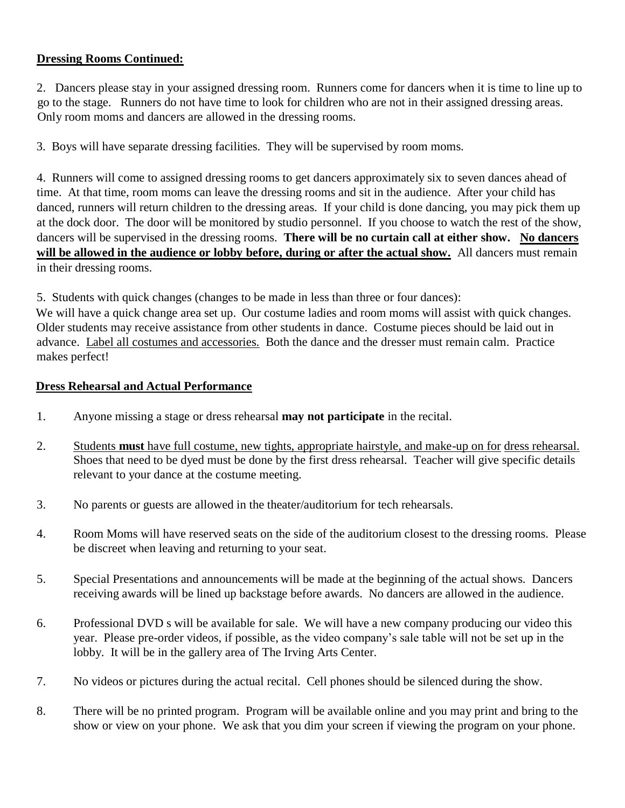## **Dressing Rooms Continued:**

2. Dancers please stay in your assigned dressing room. Runners come for dancers when it is time to line up to go to the stage. Runners do not have time to look for children who are not in their assigned dressing areas. Only room moms and dancers are allowed in the dressing rooms.

3. Boys will have separate dressing facilities. They will be supervised by room moms.

4. Runners will come to assigned dressing rooms to get dancers approximately six to seven dances ahead of time. At that time, room moms can leave the dressing rooms and sit in the audience. After your child has danced, runners will return children to the dressing areas. If your child is done dancing, you may pick them up at the dock door. The door will be monitored by studio personnel. If you choose to watch the rest of the show, dancers will be supervised in the dressing rooms. **There will be no curtain call at either show. No dancers will be allowed in the audience or lobby before, during or after the actual show.** All dancers must remain in their dressing rooms.

5. Students with quick changes (changes to be made in less than three or four dances):

We will have a quick change area set up. Our costume ladies and room moms will assist with quick changes. Older students may receive assistance from other students in dance. Costume pieces should be laid out in advance. Label all costumes and accessories. Both the dance and the dresser must remain calm. Practice makes perfect!

#### **Dress Rehearsal and Actual Performance**

- 1. Anyone missing a stage or dress rehearsal **may not participate** in the recital.
- 2. Students **must** have full costume, new tights, appropriate hairstyle, and make-up on for dress rehearsal. Shoes that need to be dyed must be done by the first dress rehearsal. Teacher will give specific details relevant to your dance at the costume meeting.
- 3. No parents or guests are allowed in the theater/auditorium for tech rehearsals.
- 4. Room Moms will have reserved seats on the side of the auditorium closest to the dressing rooms. Please be discreet when leaving and returning to your seat.
- 5. Special Presentations and announcements will be made at the beginning of the actual shows. Dancers receiving awards will be lined up backstage before awards. No dancers are allowed in the audience.
- 6. Professional DVD s will be available for sale. We will have a new company producing our video this year. Please pre-order videos, if possible, as the video company's sale table will not be set up in the lobby. It will be in the gallery area of The Irving Arts Center.
- 7. No videos or pictures during the actual recital. Cell phones should be silenced during the show.
- 8. There will be no printed program. Program will be available online and you may print and bring to the show or view on your phone. We ask that you dim your screen if viewing the program on your phone.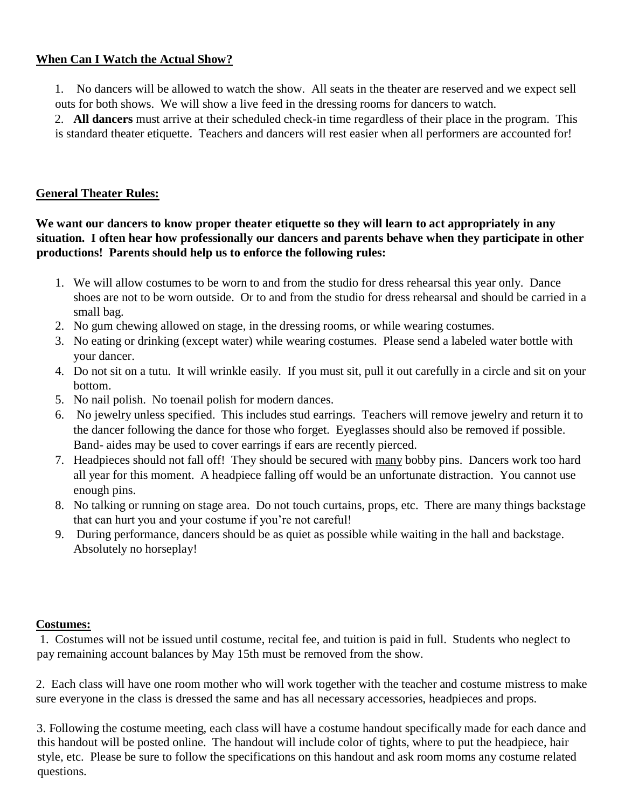### **When Can I Watch the Actual Show?**

1. No dancers will be allowed to watch the show. All seats in the theater are reserved and we expect sell outs for both shows. We will show a live feed in the dressing rooms for dancers to watch.

2. **All dancers** must arrive at their scheduled check-in time regardless of their place in the program. This is standard theater etiquette. Teachers and dancers will rest easier when all performers are accounted for!

## **General Theater Rules:**

**We want our dancers to know proper theater etiquette so they will learn to act appropriately in any situation. I often hear how professionally our dancers and parents behave when they participate in other productions! Parents should help us to enforce the following rules:** 

- 1. We will allow costumes to be worn to and from the studio for dress rehearsal this year only. Dance shoes are not to be worn outside. Or to and from the studio for dress rehearsal and should be carried in a small bag.
- 2. No gum chewing allowed on stage, in the dressing rooms, or while wearing costumes.
- 3. No eating or drinking (except water) while wearing costumes. Please send a labeled water bottle with your dancer.
- 4. Do not sit on a tutu. It will wrinkle easily. If you must sit, pull it out carefully in a circle and sit on your bottom.
- 5. No nail polish. No toenail polish for modern dances.
- 6. No jewelry unless specified. This includes stud earrings. Teachers will remove jewelry and return it to the dancer following the dance for those who forget. Eyeglasses should also be removed if possible. Band- aides may be used to cover earrings if ears are recently pierced.
- 7. Headpieces should not fall off! They should be secured with many bobby pins. Dancers work too hard all year for this moment. A headpiece falling off would be an unfortunate distraction. You cannot use enough pins.
- 8. No talking or running on stage area. Do not touch curtains, props, etc. There are many things backstage that can hurt you and your costume if you're not careful!
- 9. During performance, dancers should be as quiet as possible while waiting in the hall and backstage. Absolutely no horseplay!

### **Costumes:**

1. Costumes will not be issued until costume, recital fee, and tuition is paid in full. Students who neglect to pay remaining account balances by May 15th must be removed from the show.

2. Each class will have one room mother who will work together with the teacher and costume mistress to make sure everyone in the class is dressed the same and has all necessary accessories, headpieces and props.

3. Following the costume meeting, each class will have a costume handout specifically made for each dance and this handout will be posted online. The handout will include color of tights, where to put the headpiece, hair style, etc. Please be sure to follow the specifications on this handout and ask room moms any costume related questions.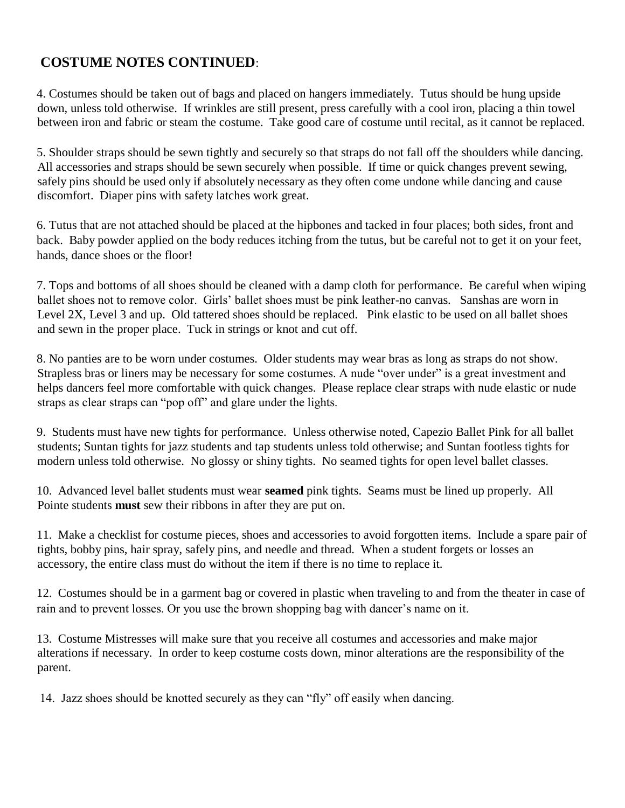# **COSTUME NOTES CONTINUED**:

4. Costumes should be taken out of bags and placed on hangers immediately. Tutus should be hung upside down, unless told otherwise. If wrinkles are still present, press carefully with a cool iron, placing a thin towel between iron and fabric or steam the costume. Take good care of costume until recital, as it cannot be replaced.

5. Shoulder straps should be sewn tightly and securely so that straps do not fall off the shoulders while dancing. All accessories and straps should be sewn securely when possible. If time or quick changes prevent sewing, safely pins should be used only if absolutely necessary as they often come undone while dancing and cause discomfort. Diaper pins with safety latches work great.

6. Tutus that are not attached should be placed at the hipbones and tacked in four places; both sides, front and back. Baby powder applied on the body reduces itching from the tutus, but be careful not to get it on your feet, hands, dance shoes or the floor!

7. Tops and bottoms of all shoes should be cleaned with a damp cloth for performance. Be careful when wiping ballet shoes not to remove color. Girls' ballet shoes must be pink leather-no canvas. Sanshas are worn in Level 2X, Level 3 and up. Old tattered shoes should be replaced. Pink elastic to be used on all ballet shoes and sewn in the proper place. Tuck in strings or knot and cut off.

8. No panties are to be worn under costumes. Older students may wear bras as long as straps do not show. Strapless bras or liners may be necessary for some costumes. A nude "over under" is a great investment and helps dancers feel more comfortable with quick changes. Please replace clear straps with nude elastic or nude straps as clear straps can "pop off" and glare under the lights.

9. Students must have new tights for performance. Unless otherwise noted, Capezio Ballet Pink for all ballet students; Suntan tights for jazz students and tap students unless told otherwise; and Suntan footless tights for modern unless told otherwise. No glossy or shiny tights. No seamed tights for open level ballet classes.

10. Advanced level ballet students must wear **seamed** pink tights. Seams must be lined up properly. All Pointe students **must** sew their ribbons in after they are put on.

11. Make a checklist for costume pieces, shoes and accessories to avoid forgotten items. Include a spare pair of tights, bobby pins, hair spray, safely pins, and needle and thread. When a student forgets or losses an accessory, the entire class must do without the item if there is no time to replace it.

12. Costumes should be in a garment bag or covered in plastic when traveling to and from the theater in case of rain and to prevent losses. Or you use the brown shopping bag with dancer's name on it.

13. Costume Mistresses will make sure that you receive all costumes and accessories and make major alterations if necessary. In order to keep costume costs down, minor alterations are the responsibility of the parent.

14. Jazz shoes should be knotted securely as they can "fly" off easily when dancing.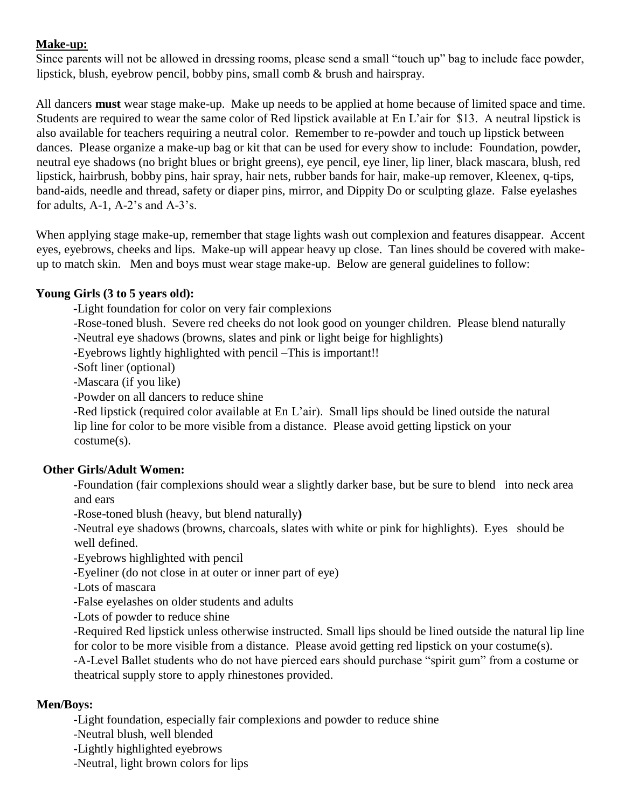# **Make-up:**

Since parents will not be allowed in dressing rooms, please send a small "touch up" bag to include face powder, lipstick, blush, eyebrow pencil, bobby pins, small comb & brush and hairspray.

All dancers **must** wear stage make-up. Make up needs to be applied at home because of limited space and time. Students are required to wear the same color of Red lipstick available at En L'air for \$13. A neutral lipstick is also available for teachers requiring a neutral color. Remember to re-powder and touch up lipstick between dances. Please organize a make-up bag or kit that can be used for every show to include: Foundation, powder, neutral eye shadows (no bright blues or bright greens), eye pencil, eye liner, lip liner, black mascara, blush, red lipstick, hairbrush, bobby pins, hair spray, hair nets, rubber bands for hair, make-up remover, Kleenex, q-tips, band-aids, needle and thread, safety or diaper pins, mirror, and Dippity Do or sculpting glaze. False eyelashes for adults, A-1, A-2's and A-3's.

When applying stage make-up, remember that stage lights wash out complexion and features disappear. Accent eyes, eyebrows, cheeks and lips. Make-up will appear heavy up close. Tan lines should be covered with makeup to match skin. Men and boys must wear stage make-up. Below are general guidelines to follow:

# **Young Girls (3 to 5 years old):**

**-**Light foundation for color on very fair complexions

-Rose-toned blush. Severe red cheeks do not look good on younger children. Please blend naturally

-Neutral eye shadows (browns, slates and pink or light beige for highlights)

-Eyebrows lightly highlighted with pencil –This is important!!

-Soft liner (optional)

-Mascara (if you like)

-Powder on all dancers to reduce shine

-Red lipstick (required color available at En L'air). Small lips should be lined outside the natural lip line for color to be more visible from a distance. Please avoid getting lipstick on your costume(s).

### **Other Girls/Adult Women:**

-Foundation (fair complexions should wear a slightly darker base, but be sure to blend into neck area and ears

-Rose-toned blush (heavy, but blend naturally**)** 

-Neutral eye shadows (browns, charcoals, slates with white or pink for highlights). Eyes should be well defined.

-Eyebrows highlighted with pencil

-Eyeliner (do not close in at outer or inner part of eye)

-Lots of mascara

-False eyelashes on older students and adults

-Lots of powder to reduce shine

-Required Red lipstick unless otherwise instructed. Small lips should be lined outside the natural lip line for color to be more visible from a distance. Please avoid getting red lipstick on your costume(s).

-A-Level Ballet students who do not have pierced ears should purchase "spirit gum" from a costume or theatrical supply store to apply rhinestones provided.

### **Men/Boys:**

-Light foundation, especially fair complexions and powder to reduce shine

-Neutral blush, well blended

- -Lightly highlighted eyebrows
- -Neutral, light brown colors for lips